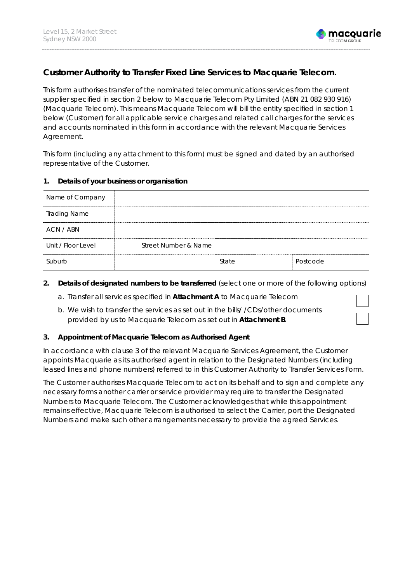

# **Customer Authority to Transfer Fixed Line Services to Macquarie Telecom.**

This form authorises transfer of the nominated telecommunications services from the current supplier specified in section 2 below to Macquarie Telecom Pty Limited (ABN 21 082 930 916) (Macquarie Telecom). This means Macquarie Telecom will bill the entity specified in section 1 below (Customer) for all applicable service charges and related call charges for the services and accounts nominated in this form in accordance with the relevant Macquarie Services Agreement.

This form (including any attachment to this form) must be signed and dated by an authorised representative of the Customer.

### **1. Details of your business or organisation**

| Name of Company     |                      |       |          |
|---------------------|----------------------|-------|----------|
| <b>Trading Name</b> |                      |       |          |
| ACN / ABN           |                      |       |          |
| Unit / Floor Level  | Street Number & Name |       |          |
|                     |                      | State | Postcode |

### **2. Details of designated numbers to be transferred** (select one or more of the following options)

- a. Transfer all services specified in **Attachment A** to Macquarie Telecom
- b. We wish to transfer the services as set out in the bills/ /CDs/other documents provided by us to Macquarie Telecom as set out in **Attachment B**.

### **3. Appointment of Macquarie Telecom as Authorised Agent**

In accordance with clause 3 of the relevant Macquarie Services Agreement, the Customer appoints Macquarie as its authorised agent in relation to the Designated Numbers (including leased lines and phone numbers) referred to in this Customer Authority to Transfer Services Form.

The Customer authorises Macquarie Telecom to act on its behalf and to sign and complete any necessary forms another carrier or service provider may require to transfer the Designated Numbers to Macquarie Telecom. The Customer acknowledges that while this appointment remains effective, Macquarie Telecom is authorised to select the Carrier, port the Designated Numbers and make such other arrangements necessary to provide the agreed Services.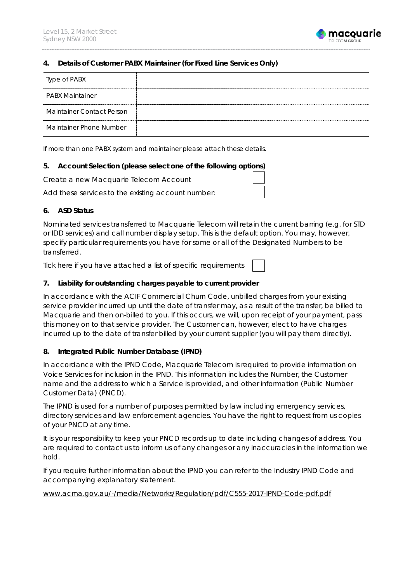

#### **4. Details of Customer PABX Maintainer (for Fixed Line Services Only)**

| Type of PABX              |  |
|---------------------------|--|
| <b>PABX Maintainer</b>    |  |
| Maintainer Contact Person |  |
| Maintainer Phone Number   |  |

*If more than one PABX system and maintainer please attach these details.*

#### **5. Account Selection (please select one of the following options)**

Create a new Macquarie Telecom Account

Add these services to the existing account number:

## **6. ASD Status**

Nominated services transferred to Macquarie Telecom will retain the current barring (e.g. for STD or IDD services) and call number display setup. This is the default option. You may, however, specify particular requirements you have for some or all of the Designated Numbers to be transferred.

Tick here if you have attached a list of specific requirements

### **7. Liability for outstanding charges payable to current provider**

In accordance with the ACIF Commercial Churn Code, unbilled charges from your existing service provider incurred up until the date of transfer may, as a result of the transfer, be billed to Macquarie and then on-billed to you. If this occurs, we will, upon receipt of your payment, pass this money on to that service provider. The Customer can, however, elect to have charges incurred up to the date of transfer billed by your current supplier (you will pay them directly).

### **8. Integrated Public Number Database (IPND)**

In accordance with the IPND Code, Macquarie Telecom is required to provide information on Voice Services for inclusion in the IPND. This information includes the Number, the Customer name and the address to which a Service is provided, and other information (Public Number Customer Data) (PNCD).

The IPND is used for a number of purposes permitted by law including emergency services, directory services and law enforcement agencies. You have the right to request from us copies of your PNCD at any time.

It is your responsibility to keep your PNCD records up to date including changes of address. You are required to contact us to inform us of any changes or any inaccuracies in the information we hold.

If you require further information about the IPND you can refer to the Industry IPND Code and accompanying explanatory statement.

[www.acma.gov.au/-/media/Networks/Regulation/pdf/C555-2017-IPND-Code-pdf.pdf](http://www.acma.gov.au/-/media/Networks/Regulation/pdf/C555-2017-IPND-Code-pdf.pdf)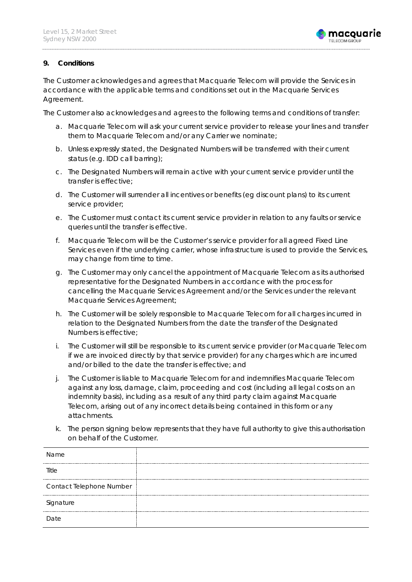

### **9. Conditions**

The Customer acknowledges and agrees that Macquarie Telecom will provide the Services in accordance with the applicable terms and conditions set out in the Macquarie Services Agreement.

The Customer also acknowledges and agrees to the following terms and conditions of transfer:

- a. Macquarie Telecom will ask your current service provider to release your lines and transfer them to Macquarie Telecom and/or any Carrier we nominate;
- b. Unless expressly stated, the Designated Numbers will be transferred with their current status (e.g. IDD call barring);
- c. The Designated Numbers will remain active with your current service provider until the transfer is effective;
- d. The Customer will surrender all incentives or benefits (eg discount plans) to its current service provider;
- e. The Customer must contact its current service provider in relation to any faults or service queries until the transfer is effective.
- f. Macquarie Telecom will be the Customer's service provider for all agreed Fixed Line Services even if the underlying carrier, whose infrastructure is used to provide the Services, may change from time to time.
- g. The Customer may only cancel the appointment of Macquarie Telecom as its authorised representative for the Designated Numbers in accordance with the process for cancelling the Macquarie Services Agreement and/or the Services under the relevant Macquarie Services Agreement;
- h. The Customer will be solely responsible to Macquarie Telecom for all charges incurred in relation to the Designated Numbers from the date the transfer of the Designated Numbers is effective;
- i. The Customer will still be responsible to its current service provider (or Macquarie Telecom if we are invoiced directly by that service provider) for any charges which are incurred and/or billed to the date the transfer is effective; and
- j. The Customer is liable to Macquarie Telecom for and indemnifies Macquarie Telecom against any loss, damage, claim, proceeding and cost (including all legal costs on an indemnity basis), including as a result of any third party claim against Macquarie Telecom, arising out of any incorrect details being contained in this form or any attachments.
- k. The person signing below represents that they have full authority to give this authorisation on behalf of the Customer.

| Name                     |  |
|--------------------------|--|
| Title                    |  |
| Contact Telephone Number |  |
| Signature                |  |
| Date                     |  |